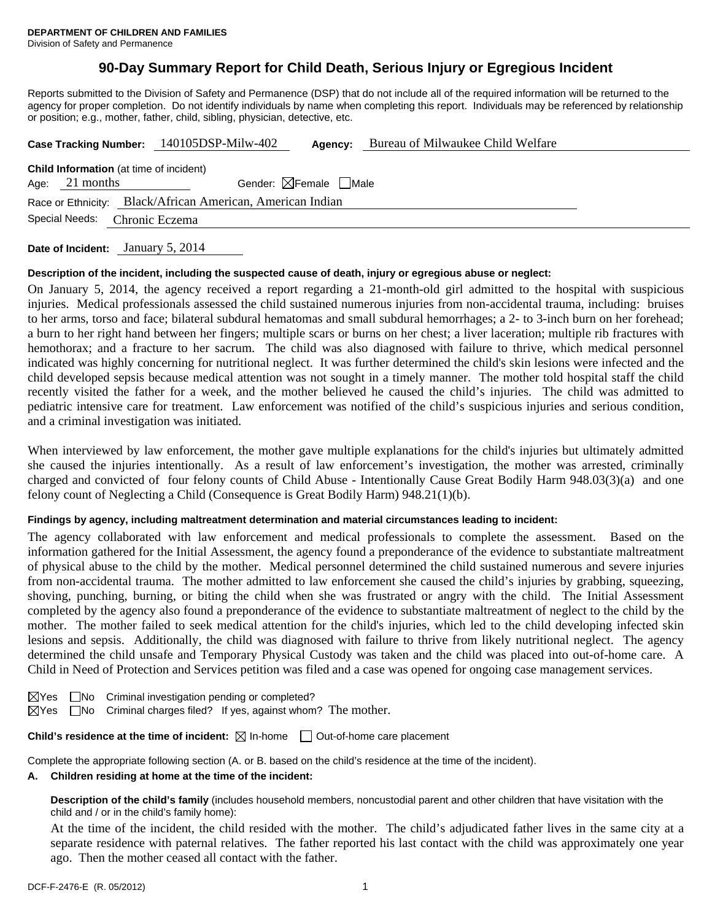# **90-Day Summary Report for Child Death, Serious Injury or Egregious Incident**

Reports submitted to the Division of Safety and Permanence (DSP) that do not include all of the required information will be returned to the agency for proper completion. Do not identify individuals by name when completing this report. Individuals may be referenced by relationship or position; e.g., mother, father, child, sibling, physician, detective, etc.

| Case Tracking Number: 140105DSP-Milw-402                   |                  |                                        | Agency: | Bureau of Milwaukee Child Welfare |  |  |  |  |
|------------------------------------------------------------|------------------|----------------------------------------|---------|-----------------------------------|--|--|--|--|
| <b>Child Information</b> (at time of incident)             |                  |                                        |         |                                   |  |  |  |  |
|                                                            | Age: $21$ months | Gender: $\boxtimes$ Female $\Box$ Male |         |                                   |  |  |  |  |
| Race or Ethnicity: Black/African American, American Indian |                  |                                        |         |                                   |  |  |  |  |
| Special Needs:<br>Chronic Eczema                           |                  |                                        |         |                                   |  |  |  |  |
|                                                            |                  |                                        |         |                                   |  |  |  |  |

**Date of Incident:** January 5, 2014

#### **Description of the incident, including the suspected cause of death, injury or egregious abuse or neglect:**

On January 5, 2014, the agency received a report regarding a 21-month-old girl admitted to the hospital with suspicious injuries. Medical professionals assessed the child sustained numerous injuries from non-accidental trauma, including: bruises to her arms, torso and face; bilateral subdural hematomas and small subdural hemorrhages; a 2- to 3-inch burn on her forehead; a burn to her right hand between her fingers; multiple scars or burns on her chest; a liver laceration; multiple rib fractures with hemothorax; and a fracture to her sacrum. The child was also diagnosed with failure to thrive, which medical personnel indicated was highly concerning for nutritional neglect. It was further determined the child's skin lesions were infected and the child developed sepsis because medical attention was not sought in a timely manner. The mother told hospital staff the child recently visited the father for a week, and the mother believed he caused the child's injuries. The child was admitted to pediatric intensive care for treatment. Law enforcement was notified of the child's suspicious injuries and serious condition, and a criminal investigation was initiated.

When interviewed by law enforcement, the mother gave multiple explanations for the child's injuries but ultimately admitted she caused the injuries intentionally. As a result of law enforcement's investigation, the mother was arrested, criminally charged and convicted of four felony counts of Child Abuse - Intentionally Cause Great Bodily Harm 948.03(3)(a) and one felony count of Neglecting a Child (Consequence is Great Bodily Harm) 948.21(1)(b).

### **Findings by agency, including maltreatment determination and material circumstances leading to incident:**

The agency collaborated with law enforcement and medical professionals to complete the assessment. Based on the information gathered for the Initial Assessment, the agency found a preponderance of the evidence to substantiate maltreatment of physical abuse to the child by the mother. Medical personnel determined the child sustained numerous and severe injuries from non-accidental trauma. The mother admitted to law enforcement she caused the child's injuries by grabbing, squeezing, shoving, punching, burning, or biting the child when she was frustrated or angry with the child. The Initial Assessment completed by the agency also found a preponderance of the evidence to substantiate maltreatment of neglect to the child by the mother. The mother failed to seek medical attention for the child's injuries, which led to the child developing infected skin lesions and sepsis. Additionally, the child was diagnosed with failure to thrive from likely nutritional neglect. The agency determined the child unsafe and Temporary Physical Custody was taken and the child was placed into out-of-home care. A Child in Need of Protection and Services petition was filed and a case was opened for ongoing case management services.

|  | $\boxtimes$ Yes $\Box$ No Criminal investigation pending or completed? |
|--|------------------------------------------------------------------------|
|  |                                                                        |

 $\boxtimes$ Yes  $\Box$ No Criminal charges filed? If yes, against whom? The mother.

**Child's residence at the time of incident:**  $\boxtimes$  In-home  $\Box$  Out-of-home care placement

Complete the appropriate following section (A. or B. based on the child's residence at the time of the incident).

#### **A. Children residing at home at the time of the incident:**

**Description of the child's family** (includes household members, noncustodial parent and other children that have visitation with the child and / or in the child's family home):

 At the time of the incident, the child resided with the mother. The child's adjudicated father lives in the same city at a separate residence with paternal relatives. The father reported his last contact with the child was approximately one year ago. Then the mother ceased all contact with the father.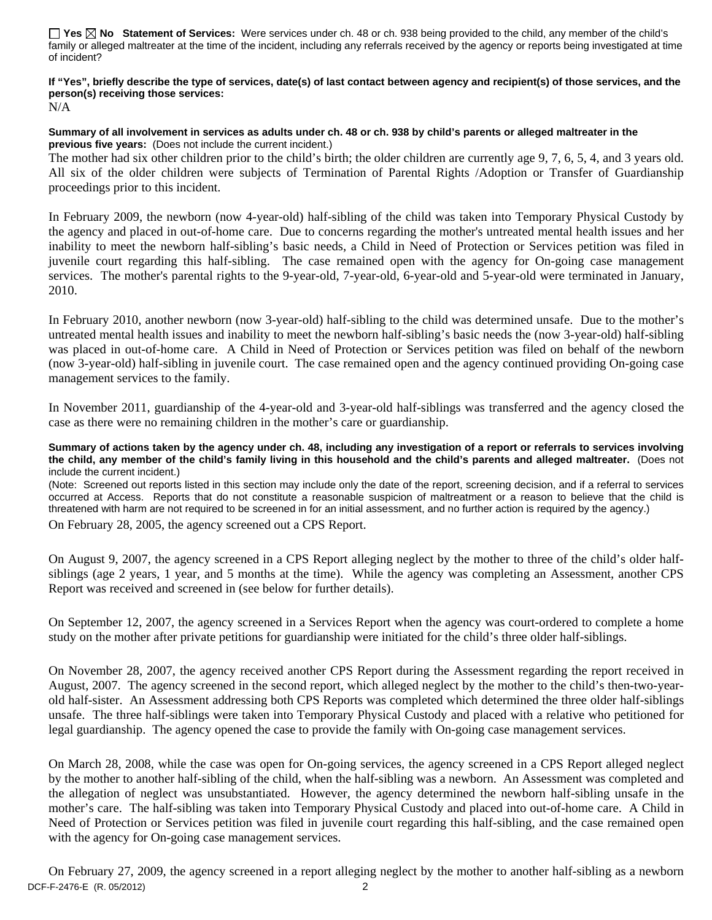**Yes No Statement of Services:** Were services under ch. 48 or ch. 938 being provided to the child, any member of the child's family or alleged maltreater at the time of the incident, including any referrals received by the agency or reports being investigated at time of incident?

#### **If "Yes", briefly describe the type of services, date(s) of last contact between agency and recipient(s) of those services, and the person(s) receiving those services:**  N/A

**Summary of all involvement in services as adults under ch. 48 or ch. 938 by child's parents or alleged maltreater in the previous five years:** (Does not include the current incident.)

The mother had six other children prior to the child's birth; the older children are currently age 9, 7, 6, 5, 4, and 3 years old. All six of the older children were subjects of Termination of Parental Rights /Adoption or Transfer of Guardianship proceedings prior to this incident.

In February 2009, the newborn (now 4-year-old) half-sibling of the child was taken into Temporary Physical Custody by the agency and placed in out-of-home care. Due to concerns regarding the mother's untreated mental health issues and her inability to meet the newborn half-sibling's basic needs, a Child in Need of Protection or Services petition was filed in juvenile court regarding this half-sibling. The case remained open with the agency for On-going case management services. The mother's parental rights to the 9-year-old, 7-year-old, 6-year-old and 5-year-old were terminated in January, 2010.

In February 2010, another newborn (now 3-year-old) half-sibling to the child was determined unsafe. Due to the mother's untreated mental health issues and inability to meet the newborn half-sibling's basic needs the (now 3-year-old) half-sibling was placed in out-of-home care. A Child in Need of Protection or Services petition was filed on behalf of the newborn (now 3-year-old) half-sibling in juvenile court. The case remained open and the agency continued providing On-going case management services to the family.

In November 2011, guardianship of the 4-year-old and 3-year-old half-siblings was transferred and the agency closed the case as there were no remaining children in the mother's care or guardianship.

#### **Summary of actions taken by the agency under ch. 48, including any investigation of a report or referrals to services involving the child, any member of the child's family living in this household and the child's parents and alleged maltreater.** (Does not include the current incident.)

(Note: Screened out reports listed in this section may include only the date of the report, screening decision, and if a referral to services occurred at Access. Reports that do not constitute a reasonable suspicion of maltreatment or a reason to believe that the child is threatened with harm are not required to be screened in for an initial assessment, and no further action is required by the agency.)

On February 28, 2005, the agency screened out a CPS Report.

On August 9, 2007, the agency screened in a CPS Report alleging neglect by the mother to three of the child's older halfsiblings (age 2 years, 1 year, and 5 months at the time). While the agency was completing an Assessment, another CPS Report was received and screened in (see below for further details).

On September 12, 2007, the agency screened in a Services Report when the agency was court-ordered to complete a home study on the mother after private petitions for guardianship were initiated for the child's three older half-siblings.

On November 28, 2007, the agency received another CPS Report during the Assessment regarding the report received in August, 2007. The agency screened in the second report, which alleged neglect by the mother to the child's then-two-yearold half-sister. An Assessment addressing both CPS Reports was completed which determined the three older half-siblings unsafe. The three half-siblings were taken into Temporary Physical Custody and placed with a relative who petitioned for legal guardianship. The agency opened the case to provide the family with On-going case management services.

On March 28, 2008, while the case was open for On-going services, the agency screened in a CPS Report alleged neglect by the mother to another half-sibling of the child, when the half-sibling was a newborn. An Assessment was completed and the allegation of neglect was unsubstantiated. However, the agency determined the newborn half-sibling unsafe in the mother's care. The half-sibling was taken into Temporary Physical Custody and placed into out-of-home care. A Child in Need of Protection or Services petition was filed in juvenile court regarding this half-sibling, and the case remained open with the agency for On-going case management services.

DCF-F-2476-E (R. 05/2012) 2 On February 27, 2009, the agency screened in a report alleging neglect by the mother to another half-sibling as a newborn